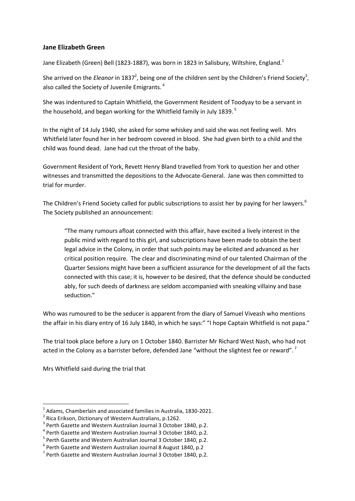## **Jane Elizabeth Green**

Jane Elizabeth (Green) Bell (1823-1887), was born in 1823 in Salisbury, Wiltshire, England.<sup>1</sup>

She arrived on the *Eleanor* in 1837<sup>2</sup>, being one of the children sent by the Children's Friend Society<sup>3</sup>, also called the Society of Juvenile Emigrants.<sup>4</sup>

She was indentured to Captain Whitfield, the Government Resident of Toodyay to be a servant in the household, and began working for the Whitfield family in July 1839.<sup>5</sup>

In the night of 14 July 1940, she asked for some whiskey and said she was not feeling well. Mrs Whitfield later found her in her bedroom covered in blood. She had given birth to a child and the child was found dead. Jane had cut the throat of the baby.

Government Resident of York, Revett Henry Bland travelled from York to question her and other witnesses and transmitted the depositions to the Advocate-General. Jane was then committed to trial for murder.

The Children's Friend Society called for public subscriptions to assist her by paying for her lawyers.<sup>6</sup> The Society published an announcement:

"The many rumours afloat connected with this affair, have excited a lively interest in the public mind with regard to this girl, and subscriptions have been made to obtain the best legal advice in the Colony, in order that such points may be elicited and advanced as her critical position require. The clear and discriminating mind of our talented Chairman of the Quarter Sessions might have been a sufficient assurance for the development of all the facts connected with this case; it is, however to be desired, that the defence should be conducted ably, for such deeds of darkness are seldom accompanied with sneaking villainy and base seduction."

Who was rumoured to be the seducer is apparent from the diary of Samuel Viveash who mentions the affair in his diary entry of 16 July 1840, in which he says:" "I hope Captain Whitfield is not papa."

The trial took place before a Jury on 1 October 1840. Barrister Mr Richard West Nash, who had not acted in the Colony as a barrister before, defended Jane "without the slightest fee or reward".<sup>7</sup>

Mrs Whitfield said during the trial that

 $\overline{a}$ 

 $<sup>1</sup>$  Adams, Chamberlain and associated families in Australia, 1830-2021.</sup>

<sup>2</sup> Rica Erikson, Dictionary of Western Australians, p.1262.

<sup>&</sup>lt;sup>3</sup> Perth Gazette and Western Australian Journal 3 October 1840, p.2.

<sup>&</sup>lt;sup>4</sup> Perth Gazette and Western Australian Journal 3 October 1840, p.2.

<sup>&</sup>lt;sup>5</sup> Perth Gazette and Western Australian Journal 3 October 1840, p.2.

<sup>6</sup> Perth Gazette and Western Australian Journal 8 August 1840, p.2

 $<sup>7</sup>$  Perth Gazette and Western Australian Journal 3 October 1840, p.2.</sup>